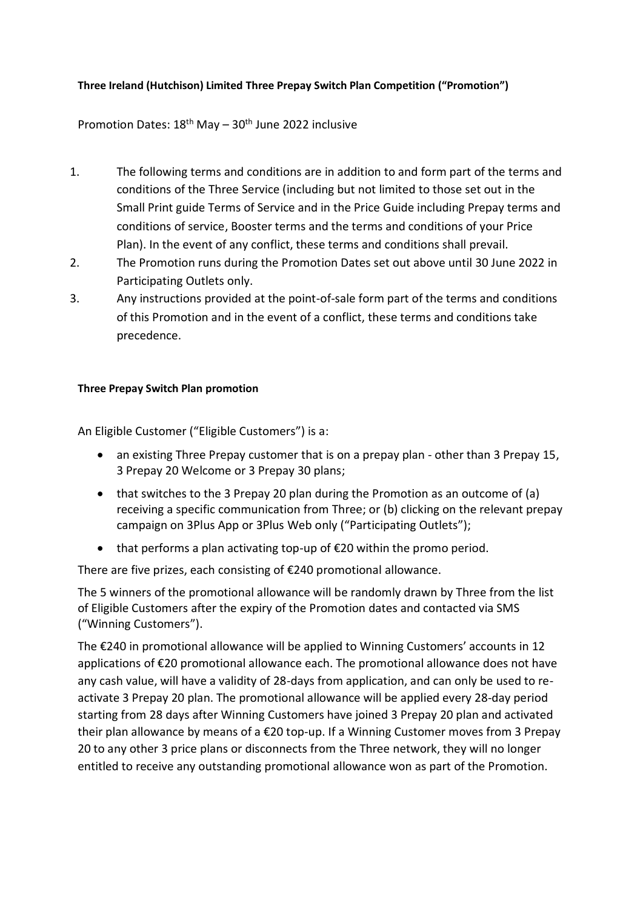## **Three Ireland (Hutchison) Limited Three Prepay Switch Plan Competition ("Promotion")**

## Promotion Dates: 18<sup>th</sup> May - 30<sup>th</sup> June 2022 inclusive

- 1. The following terms and conditions are in addition to and form part of the terms and conditions of the Three Service (including but not limited to those set out in the Small Print guide Terms of Service and in the Price Guide including Prepay terms and conditions of service, Booster terms and the terms and conditions of your Price Plan). In the event of any conflict, these terms and conditions shall prevail.
- 2. The Promotion runs during the Promotion Dates set out above until 30 June 2022 in Participating Outlets only.
- 3. Any instructions provided at the point-of-sale form part of the terms and conditions of this Promotion and in the event of a conflict, these terms and conditions take precedence.

## **Three Prepay Switch Plan promotion**

An Eligible Customer ("Eligible Customers") is a:

- an existing Three Prepay customer that is on a prepay plan other than 3 Prepay 15, 3 Prepay 20 Welcome or 3 Prepay 30 plans;
- that switches to the 3 Prepay 20 plan during the Promotion as an outcome of (a) receiving a specific communication from Three; or (b) clicking on the relevant prepay campaign on 3Plus App or 3Plus Web only ("Participating Outlets");
- $\bullet$  that performs a plan activating top-up of  $\epsilon$ 20 within the promo period.

There are five prizes, each consisting of €240 promotional allowance.

The 5 winners of the promotional allowance will be randomly drawn by Three from the list of Eligible Customers after the expiry of the Promotion dates and contacted via SMS ("Winning Customers").

The €240 in promotional allowance will be applied to Winning Customers' accounts in 12 applications of €20 promotional allowance each. The promotional allowance does not have any cash value, will have a validity of 28-days from application, and can only be used to reactivate 3 Prepay 20 plan. The promotional allowance will be applied every 28-day period starting from 28 days after Winning Customers have joined 3 Prepay 20 plan and activated their plan allowance by means of a €20 top-up. If a Winning Customer moves from 3 Prepay 20 to any other 3 price plans or disconnects from the Three network, they will no longer entitled to receive any outstanding promotional allowance won as part of the Promotion.